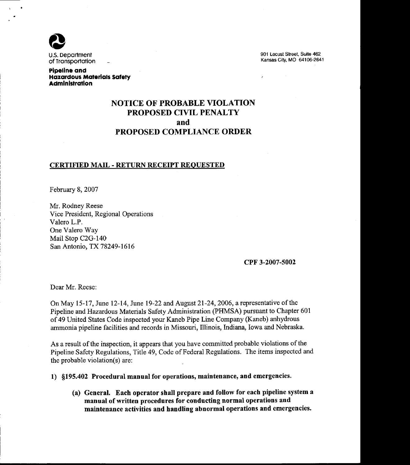

901 Locust Street, Suite 462 Kansas City, MO 64106-2641

Pipeline and **Hazardous Materials Safety Administration** 

# NOTICE OF PROBABLE VIOLATION PROPOSED CIVIL PENALTY and PROPOSED COMPLIANCE ORDER

#### CERTIFIED MAIL - RETURN RECEIPT REQUESTED

February 8,2007

Mr. Rodney Reese Vice President, Regional Operations Valero L.P. One Valero Way Mail Stop C2G-140 San Antonio, TX 78249-1616

#### cPF 3-2007-5002

Dear Mr. Reese:

On May 15-17, June 12-14, June 19-22 and August 21-24, 2006, a representative of the Pipeline and Hazardous Materials Safety Administration (PHMSA) pursuant to Chapter 601 of 49 United States Code inspected your Kaneb Pipe Line Company (Kaneb) anhydrous ammonia pipeline facilities and records in Missouri, Illinois, Indiana, Iowa and Nebraska.

As a result of the inspection, it appears that you have committed probable violations of the Pipeline Safety Regulations, Title 49, Code of Federal Regulations. The items inspected and the probable violation(s) are:

1) S195.402 Procedural manual for operations, maintenance, and emergencies.

(a) General. Each operator shall prepare and follow for each pipeline system a manual of written procedures for conducting normal operations and maintenance activities and handling abnormal operations and emergencies.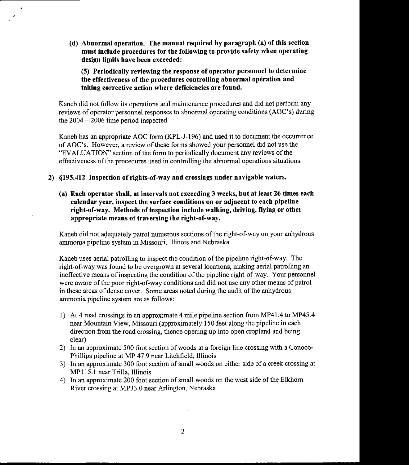(d) Abnormal operation. The manual required by paragraph (a) of this section must include procedures for the following to provide safety when operating design limits have been exceeded:

(5) Periodically reviewing the response of operator personnel to determine the effectiveness of the procedures controlling abnormal opération and taking corrective action where deficiencies are found.

Kaneb did not follow its operations and maintenance procedures and did not perform any reviews of operator personnel responses to abnormal operating conditions (AOC's) during the  $2004 - 2006$  time period inspected.

Kaneb has an appropriate AOC form (KPL-J-196) and used it to document the occurrence of AOC's. However, a review of these forms showed your personnel did not use the "EVALUATION" section of the form to periodically document any reviews of the effectiveness of the procedures used in controlling the abnormal operations situations.

2) \$195.412 Inspection of rights-of-way and crossings under navigable waters.

(a) Each operator shall, at intervals not exceeding 3 weeks, but at least 26 times each calendar year, inspect the surface couditions on or adjacent to each pipeline right-of-way. Methods of inspection include walking, driving, flying or other appropriate means of traversing the right-of-way.

Kaneb did not adequately patrol numerous sections of the right-of-way on your anhydrous ammonia pipeline system in Missouri, Illinois and Nebraska.

Kaneb uses aerial patrolling to inspect the condition of the pipeline right-of-way. The right-of-way was found to be overgrown at several locations, making aerial patrolling an ineffective means of inspecting the condition of the pipeline right-of-way. Your personnel were aware of the poor right-of-way conditions and did not use any other means of patrol in these areas of dense cover. Some areas noted during the audit of the anhydrous ammonia pipeline system are as follows:

- 1) At 4 road crossings in an approximate 4 mile pipeline section from MP41.4 to MP45.4 near Mountain View, Missouri (approximately 150 feet along the pipeline in each direction from the road crossing, thence opening up into open cropland and being clear)
- 2) In an approximate 500 foot section of woods at a foreign line crossing with a Conoco-Phillips pipeline at MP 47.9 near Litchfield, Illinois
- 3) In an approximate 300 foot section of small woods on either side of a creek crossing at MPI 15.1 near Trilla, lllinois
- 4) In an approximate 200 foot section of small woods on the west side of the Elkhorn River crossing at MP33,0 near Arlington, Nebraska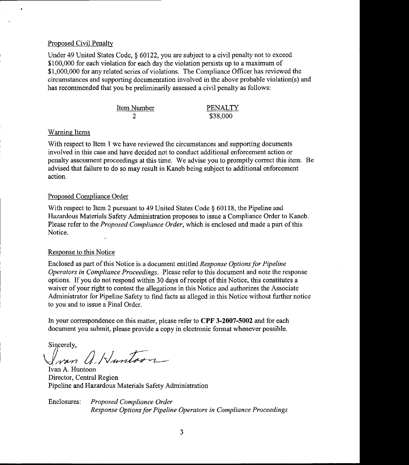### Proposed Civil Penalty

Under 49 United States Code, § 60122, you are subject to a civil penalty not to exceed \$100,000 for each violation for each day the violation persists up to a maximum of \$1,000,000 for any related series of violations. The Compliance Officer has reviewed the circumstances and supporting documentation involved in the above probable violation(s) and has recommended that you be preliminarily assessed a civil penalty as follows:

| Item Number | PENALTY  |
|-------------|----------|
|             | \$38,000 |

### Warning Items

With respect to Item 1 we have reviewed the circumstances and supporting documents involved in this case and have decided not to conduct additional enforcement action or penalty assessment proceedings at this time. We advise you to promptly conect this item. Be advised that failure to do so may result in Kaneb being subject to additional enforcement action.

#### Proposed Compliance Order

With respect to Item 2 pursuant to 49 United States Code § 60118, the Pipeline and Hazardous Materials Safety Administration proposes to issue a Compliance Order to Kaneb. Please refer to the *Proposed Compliance Order*, which is enclosed and made a part of this Notice.

#### Response to this Notice

Enclosed as part of this Notice is a document entitled Response Options for Pipeline Operators in Compliance Proceedings. Please refer to this document and note the response options. If you do not respond within 30 days of receipt of this Notice, this constitutes a waiver of your right to contest the allegations in this Notice and authorizes the Associate Administrator for Pipeline Safety to find facts as alleged in this Notice without further notice to you and to issue a Final Order.

In your correspondence on this matter, please refer to CPF 3-2007-5002 and for each document you submit, please provide a copy in electronic format whenever possible.

Sincerely,

I van A. Huntoon

Ivan A. Huntoon Director, Central Region Pipeline and Hazardous Materials Safety Administration

Enclosures: Proposed Compliance Order Response Options for Pipeline Operators in Compliance Proceedings